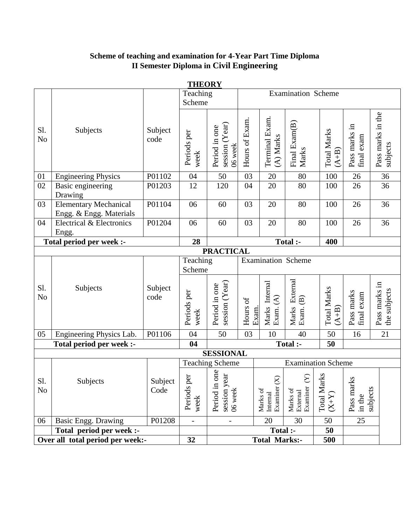# **Scheme of teaching and examination for 4-Year Part Time Diploma II Semester Diploma in Civil Engineering**

|                       |                                                         |                 | <u>11110111</u><br>Teaching<br>Scheme |                                              |                |                                                   | <b>Examination Scheme</b>                    |                               |                                                           |                               |
|-----------------------|---------------------------------------------------------|-----------------|---------------------------------------|----------------------------------------------|----------------|---------------------------------------------------|----------------------------------------------|-------------------------------|-----------------------------------------------------------|-------------------------------|
| Sl.<br>N <sub>o</sub> | Subjects                                                | Subject<br>code | Periods per<br>week                   | session $(Year)$<br>Period in one<br>06 week | Hours of Exam. | Terminal Exam.<br>(A) Marks                       | Final Exam(B)<br>Marks                       | <b>Total Marks</b><br>$(A+B)$ | Pass marks in<br>final exam                               | Pass marks in the<br>subjects |
| 01                    | <b>Engineering Physics</b>                              | P01102          | 04                                    | 50                                           | 03             | 20                                                | 80                                           | 100                           | 26                                                        | $\overline{36}$               |
| 02                    | Basic engineering<br>Drawing                            | P01203          | 12                                    | 120                                          | 04             | 20                                                | 80                                           | 100                           | 26                                                        | 36                            |
| 03                    | <b>Elementary Mechanical</b><br>Engg. & Engg. Materials | P01104          | 06                                    | 60                                           | 03             | 20                                                | 80                                           | 100                           | 26                                                        | 36                            |
| 04                    | Electrical & Electronics<br>Engg.                       | P01204          | 06                                    | 60                                           | 03             | 20                                                | 80                                           | 100                           | 26                                                        | 36                            |
|                       | Total period per week :-                                |                 | 28                                    |                                              |                |                                                   | Total :-                                     | 400                           |                                                           |                               |
|                       |                                                         |                 |                                       | <b>PRACTICAL</b>                             |                |                                                   |                                              |                               |                                                           |                               |
|                       |                                                         |                 | Teaching<br>Scheme                    |                                              |                | <b>Examination Scheme</b>                         |                                              |                               |                                                           |                               |
| Sl.<br>N <sub>o</sub> | Subjects                                                | Subject<br>code | Periods per<br>week                   | session (Year)<br>Period in one              | Hours of       | Marks Internal<br>Exam. (A)<br>Exam.              | External<br>Marks Ext<br>Exam. (B)           | <b>Total Marks</b><br>$(A+B)$ | Pass marks<br>final exam                                  | Pass marks in<br>the subjects |
| 05                    | Engineering Physics Lab.                                | P01106          | 04                                    | 50                                           | 03             | 10                                                | 40                                           | 50                            | 16                                                        | 21                            |
|                       | Total period per week :-                                |                 | 04                                    |                                              |                |                                                   | Total :-                                     | 50                            |                                                           |                               |
|                       |                                                         |                 |                                       | <b>SESSIONAL</b>                             |                |                                                   |                                              |                               |                                                           |                               |
|                       |                                                         |                 |                                       | <b>Teaching Scheme</b>                       |                |                                                   | <b>Examination Scheme</b>                    |                               |                                                           |                               |
| Sl.<br>N <sub>0</sub> | Subjects                                                | Subject<br>Code | per<br>Periods<br>week                | one<br>session year<br>06 week<br>Period in  |                | $\widehat{X}$<br>Examiner<br>Marks of<br>Internal | $\infty$<br>Examiner<br>Marks of<br>External | <b>Total Marks</b><br>$(X+Y)$ | $\overline{\mathbf{k}}$<br>Pass mar<br>subjects<br>in the |                               |
| 06                    | <b>Basic Engg. Drawing</b>                              | P01208          | $\overline{\phantom{a}}$              | $\overline{\phantom{0}}$                     |                | 20                                                | 30                                           | 50                            | 25                                                        |                               |
|                       | Total period per week :-                                |                 |                                       |                                              |                | Total :-                                          |                                              | 50                            |                                                           |                               |
|                       | Over all total period per week:-                        |                 | 32                                    |                                              |                | <b>Total Marks:-</b>                              |                                              | 500                           |                                                           |                               |

**THEORY**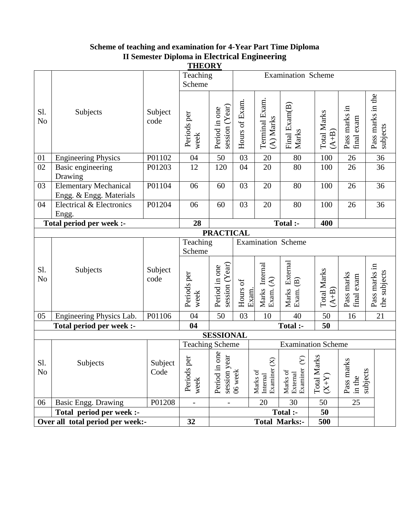# **Scheme of teaching and examination for 4-Year Part Time Diploma II Semester Diploma in Electrical Engineering**

|                       | <b>THEORY</b>                                           |                 |                          |                                          |                   |                                        |                                                     |                               |                                  |                               |
|-----------------------|---------------------------------------------------------|-----------------|--------------------------|------------------------------------------|-------------------|----------------------------------------|-----------------------------------------------------|-------------------------------|----------------------------------|-------------------------------|
|                       |                                                         |                 | Teaching                 |                                          |                   |                                        | <b>Examination Scheme</b>                           |                               |                                  |                               |
|                       |                                                         |                 | Scheme                   |                                          |                   |                                        |                                                     |                               |                                  |                               |
| Sl.<br>N <sub>o</sub> | Subjects                                                | Subject<br>code | Periods per<br>week      | session (Year)<br>Period in one          | Hours of Exam.    | Terminal Exam.<br>(A) Marks            | Final Exam(B)<br>Marks                              | <b>Total Marks</b><br>$(A+B)$ | Pass marks in<br>final exam      | Pass marks in the<br>subjects |
| 01                    | <b>Engineering Physics</b>                              | P01102          | 04                       | 50                                       | 03                | 20                                     | 80                                                  | 100                           | 26                               | 36                            |
| 02                    | Basic engineering                                       | P01203          | 12                       | 120                                      | 04                | 20                                     | 80                                                  | 100                           | 26                               | 36                            |
|                       | Drawing                                                 |                 |                          |                                          |                   |                                        |                                                     |                               |                                  |                               |
| 03                    | <b>Elementary Mechanical</b><br>Engg. & Engg. Materials | P01104          | 06                       | 60                                       | 03                | 20                                     | 80                                                  | 100                           | 26                               | 36                            |
| 04                    | Electrical & Electronics                                | P01204          | 06                       | 60                                       | 03                | 20                                     | 80                                                  | 100                           | 26                               | 36                            |
|                       | Engg.                                                   |                 |                          |                                          |                   |                                        |                                                     |                               |                                  |                               |
|                       | Total period per week :-                                |                 | 28                       |                                          |                   |                                        | Total :-                                            | 400                           |                                  |                               |
|                       |                                                         |                 |                          | <b>PRACTICAL</b>                         |                   |                                        |                                                     |                               |                                  |                               |
|                       |                                                         |                 | Teaching                 |                                          |                   | <b>Examination Scheme</b>              |                                                     |                               |                                  |                               |
|                       |                                                         |                 | Scheme                   |                                          |                   |                                        |                                                     |                               |                                  |                               |
| Sl.<br>N <sub>o</sub> | Subjects                                                | Subject<br>code | Periods per<br>week      | session (Year)<br>Period in one          | Hours of<br>Exam. | Marks Internal<br>Exam. (A)            | Marks External<br>$\widehat{\mathfrak{B}}$<br>Exam. | <b>Total Marks</b><br>$(A+B)$ | Pass marks<br>final exam         | Pass marks in<br>the subjects |
| 05                    | Engineering Physics Lab.                                | P01106          | 04                       | 50                                       | 03                | 10                                     | 40                                                  | 50                            | 16                               | 21                            |
|                       | Total period per week :-                                |                 | 04                       |                                          |                   |                                        | Total :-                                            | 50                            |                                  |                               |
|                       |                                                         |                 |                          | <b>SESSIONAL</b>                         |                   |                                        |                                                     |                               |                                  |                               |
|                       |                                                         |                 | <b>Teaching Scheme</b>   |                                          |                   |                                        | <b>Examination Scheme</b>                           |                               |                                  |                               |
| Sl.<br>N <sub>o</sub> | Subjects                                                | Subject<br>Code | Periods per<br>week      | Period in one<br>session year<br>06 week |                   | Examiner $(X)$<br>Marks of<br>Internal | $\infty$<br>Examiner<br>Marks of<br>External        | <b>Total Marks</b><br>$(X+Y)$ | Pass marks<br>subjects<br>in the |                               |
| 06                    | Basic Engg. Drawing                                     | P01208          | $\overline{\phantom{a}}$ | $\overline{\phantom{0}}$                 |                   | 20                                     | 30                                                  | 50                            | 25                               |                               |
|                       | Total period per week :-                                |                 |                          |                                          |                   |                                        | Total :-                                            | 50                            |                                  |                               |
|                       | Over all total period per week:-                        |                 | 32                       |                                          |                   | <b>Total Marks:-</b>                   |                                                     | 500                           |                                  |                               |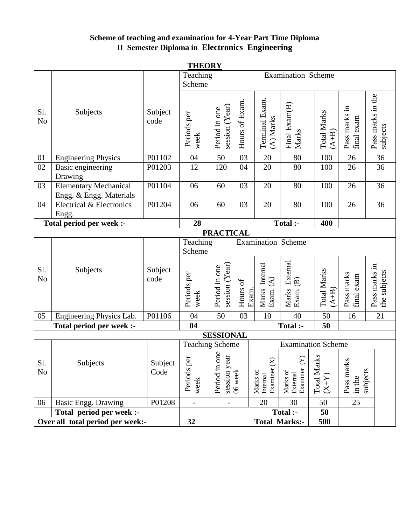# **Scheme of teaching and examination for 4-Year Part Time Diploma II Semester Diploma in Electronics Engineering**

|                          | <b>THEORY</b>                    |                 |                        |                                   |                |                                               |                                              |                                                 |                                  |                               |
|--------------------------|----------------------------------|-----------------|------------------------|-----------------------------------|----------------|-----------------------------------------------|----------------------------------------------|-------------------------------------------------|----------------------------------|-------------------------------|
|                          |                                  | Teaching        |                        |                                   |                | <b>Examination Scheme</b>                     |                                              |                                                 |                                  |                               |
|                          |                                  |                 | Scheme                 |                                   |                |                                               |                                              |                                                 |                                  |                               |
| Sl.<br>N <sub>o</sub>    | Subjects                         | Subject<br>code | Periods per<br>week    | session (Year)<br>Period in one   | Hours of Exam. | Terminal Exam.<br>(A) Marks                   | Final Exam(B)<br>Marks                       | <b>Total Marks</b><br>$(A+B)$                   | Pass marks in<br>final exam      | Pass marks in the<br>subjects |
| 01                       | <b>Engineering Physics</b>       | P01102          | 04                     | 50                                | 03             | 20                                            | 80                                           | 100                                             | 26                               | 36                            |
| 02                       | Basic engineering                | P01203          | 12                     | 120                               | 04             | 20                                            | 80                                           | 100                                             | 26                               | 36                            |
|                          | Drawing                          |                 |                        |                                   |                |                                               |                                              |                                                 |                                  |                               |
| 03                       | <b>Elementary Mechanical</b>     | P01104          | 06                     | 60                                | 03             | 20                                            | 80                                           | 100                                             | 26                               | 36                            |
|                          | Engg. & Engg. Materials          |                 |                        |                                   |                |                                               |                                              |                                                 |                                  |                               |
| 04                       | Electrical & Electronics         | P01204          | 06                     | 60                                | 03             | 20                                            | 80                                           | 100                                             | 26                               | 36                            |
|                          | Engg.                            |                 |                        |                                   |                |                                               |                                              |                                                 |                                  |                               |
| Total period per week :- |                                  |                 | 28                     |                                   |                |                                               | Total :-                                     | 400                                             |                                  |                               |
|                          |                                  |                 |                        | <b>PRACTICAL</b>                  |                |                                               |                                              |                                                 |                                  |                               |
|                          |                                  |                 | Teaching               |                                   |                | <b>Examination Scheme</b>                     |                                              |                                                 |                                  |                               |
|                          |                                  |                 | Scheme                 |                                   |                |                                               |                                              |                                                 |                                  |                               |
| Sl.<br>No                | Subjects                         | Subject<br>code | Periods per<br>week    | session $(Year)$<br>Period in one | Hours of       | Marks Internal<br>Exam. (A)<br>Exam.          | Marks External<br>Exam. (B)                  | <b>Total Marks</b><br>$(A+B)$                   | Pass marks<br>final exam         | Pass marks in<br>the subjects |
| 05                       | Engineering Physics Lab.         | P01106          | 04                     | 50                                | 03             | 10                                            | 40                                           | 50                                              | 16                               | 21                            |
|                          | Total period per week :-         |                 | 04                     |                                   |                |                                               | Total :-                                     | 50                                              |                                  |                               |
|                          |                                  |                 |                        | <b>SESSIONAL</b>                  |                |                                               |                                              |                                                 |                                  |                               |
|                          |                                  |                 | <b>Teaching Scheme</b> |                                   |                |                                               | <b>Examination Scheme</b>                    |                                                 |                                  |                               |
| Sl.<br>N <sub>o</sub>    | Subjects                         | Subject<br>Code | Periods per<br>week    | Period in one<br>session year     | 06 week        | $\otimes$<br>Examiner<br>Marks of<br>Internal | $\infty$<br>Examiner<br>Marks of<br>External | <b>Total Marks</b><br>$(\mathbf{X}+\mathbf{X})$ | Pass marks<br>subjects<br>in the |                               |
| 06                       | Basic Engg. Drawing              | P01208          |                        | $\overline{\phantom{0}}$          |                | 20                                            | 30                                           | 50                                              | $\overline{25}$                  |                               |
|                          | Total period per week :-         |                 |                        |                                   |                |                                               | Total :-                                     | 50                                              |                                  |                               |
|                          | Over all total period per week:- |                 | 32                     |                                   |                | <b>Total Marks:-</b>                          |                                              | 500                                             |                                  |                               |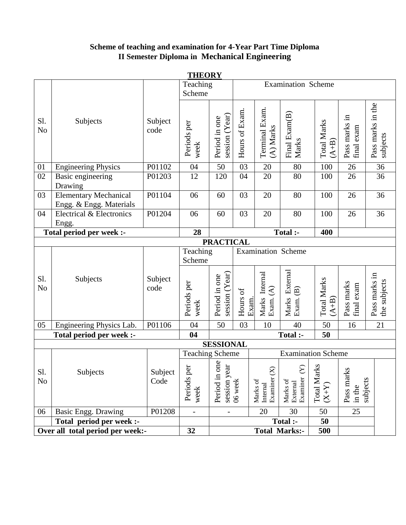# **Scheme of teaching and examination for 4-Year Part Time Diploma II Semester Diploma in Mechanical Engineering**

|                       | <u>THEORY</u>                                           |                 |                        |                                     |                |                                        |                                                           |                               |                                  |                               |
|-----------------------|---------------------------------------------------------|-----------------|------------------------|-------------------------------------|----------------|----------------------------------------|-----------------------------------------------------------|-------------------------------|----------------------------------|-------------------------------|
|                       |                                                         |                 | Teaching               |                                     |                |                                        | <b>Examination Scheme</b>                                 |                               |                                  |                               |
|                       |                                                         |                 | Scheme                 |                                     |                |                                        |                                                           |                               |                                  |                               |
| Sl.<br>N <sub>o</sub> | Subjects                                                | Subject<br>code | Periods per<br>week    | session $(Year)$<br>Period in one   | Hours of Exam. | Terminal Exam.<br>(A) Marks            | Final Exam(B)<br>Marks                                    | <b>Total Marks</b><br>$(A+B)$ | Pass marks in<br>final exam      | Pass marks in the<br>subjects |
| 01                    | <b>Engineering Physics</b>                              | P01102          | 04                     | 50                                  | 03             | 20                                     | 80                                                        | 100                           | 26                               | 36                            |
| 02                    | Basic engineering                                       | P01203          | 12                     | 120                                 | 04             | 20                                     | 80                                                        | 100                           | 26                               | 36                            |
|                       | Drawing                                                 |                 |                        |                                     |                |                                        |                                                           |                               |                                  |                               |
| 03                    | <b>Elementary Mechanical</b><br>Engg. & Engg. Materials | P01104          | 06                     | 60                                  | 03             | 20                                     | 80                                                        | 100                           | 26                               | 36                            |
| 04                    | Electrical & Electronics                                | P01204          | 06                     | 60                                  | 03             | 20                                     | 80                                                        | 100                           | 26                               | 36                            |
|                       | Engg.                                                   |                 |                        |                                     |                |                                        |                                                           |                               |                                  |                               |
|                       | Total period per week :-                                |                 | 28                     |                                     |                |                                        | Total :-                                                  | 400                           |                                  |                               |
|                       |                                                         |                 |                        | <b>PRACTICAL</b>                    |                |                                        |                                                           |                               |                                  |                               |
|                       |                                                         |                 | Teaching               |                                     |                | <b>Examination Scheme</b>              |                                                           |                               |                                  |                               |
|                       |                                                         |                 | Scheme                 |                                     |                |                                        |                                                           |                               |                                  |                               |
| Sl.<br>N <sub>o</sub> | Subjects                                                | Subject<br>code | Periods per<br>week    | session $(Year)$<br>Period in one   | Hours of       | Marks Internal<br>Exam. (A)<br>Exam.   | Marks External<br>Exam. (B)                               | <b>Total Marks</b><br>$(A+B)$ | Pass marks<br>final exam         | Pass marks in<br>the subjects |
| 05                    | Engineering Physics Lab.                                | P01106          | 04                     | 50                                  | 03             | 10                                     | 40                                                        | 50                            | 16                               | 21                            |
|                       | Total period per week :-                                |                 | 04                     |                                     |                |                                        | Total :-                                                  | 50                            |                                  |                               |
|                       |                                                         |                 |                        | <b>SESSIONAL</b>                    |                |                                        |                                                           |                               |                                  |                               |
|                       |                                                         |                 | <b>Teaching Scheme</b> |                                     |                |                                        | <b>Examination Scheme</b>                                 |                               |                                  |                               |
| Sl.<br>N <sub>o</sub> | Subjects                                                | Subject<br>Code | đ<br>Periods p<br>week | one<br>ਰ<br>session ye<br>Period in | 06 week        | Examiner $(X)$<br>Marks of<br>Internal | $\boldsymbol{\Sigma}$<br>Examiner<br>Marks of<br>External | Total Marks<br>$(X+Y)$        | Pass marks<br>subjects<br>in the |                               |
| 06                    | Basic Engg. Drawing                                     | P01208          |                        | $\qquad \qquad \blacksquare$        |                | 20                                     | 30                                                        | 50                            | 25                               |                               |
|                       | Total period per week :-                                |                 |                        |                                     |                |                                        | Total :-                                                  | 50                            |                                  |                               |
|                       | Over all total period per week:-                        |                 | 32                     |                                     |                |                                        | <b>Total Marks:-</b>                                      | 500                           |                                  |                               |

**THEORY**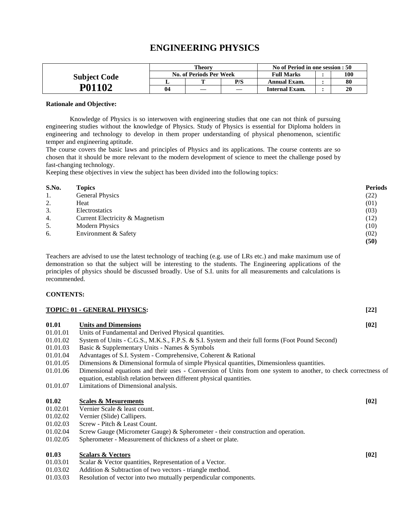# **ENGINEERING PHYSICS**

|                     |    | <b>Theory</b>           |     | No of Period in one session : 50 |  |     |  |
|---------------------|----|-------------------------|-----|----------------------------------|--|-----|--|
| <b>Subject Code</b> |    | No. of Periods Per Week |     | <b>Full Marks</b>                |  | 100 |  |
|                     |    |                         | P/S | <b>Annual Exam.</b>              |  | 80  |  |
| P01102              | 04 |                         |     | <b>Internal Exam.</b>            |  |     |  |

#### **Rationale and Objective:**

Knowledge of Physics is so interwoven with engineering studies that one can not think of pursuing engineering studies without the knowledge of Physics. Study of Physics is essential for Diploma holders in engineering and technology to develop in them proper understanding of physical phenomenon, scientific temper and engineering aptitude.

The course covers the basic laws and principles of Physics and its applications. The course contents are so chosen that it should be more relevant to the modern development of science to meet the challenge posed by fast-changing technology.

Keeping these objectives in view the subject has been divided into the following topics:

| S.No. | <b>Topics</b>                   | <b>Periods</b> |
|-------|---------------------------------|----------------|
| 1.    | General Physics                 | (22)           |
| 2.    | Heat                            | (01)           |
| 3.    | Electrostatics                  | (03)           |
| 4.    | Current Electricity & Magnetism | (12)           |
| 5.    | <b>Modern Physics</b>           | (10)           |
| 6.    | Environment & Safety            | (02)           |
|       |                                 | (50)           |

Teachers are advised to use the latest technology of teaching (e.g. use of LRs etc.) and make maximum use of demonstration so that the subject will be interesting to the students. The Engineering applications of the principles of physics should be discussed broadly. Use of S.I. units for all measurements and calculations is recommended.

#### **CONTENTS:**

|          | TOPIC: 01 - GENERAL PHYSICS:                                                                                                                                                          | $[22]$ |
|----------|---------------------------------------------------------------------------------------------------------------------------------------------------------------------------------------|--------|
| 01.01    | <b>Units and Dimensions</b>                                                                                                                                                           | [02]   |
| 01.01.01 | Units of Fundamental and Derived Physical quantities.                                                                                                                                 |        |
| 01.01.02 | System of Units - C.G.S., M.K.S., F.P.S. & S.I. System and their full forms (Foot Pound Second)                                                                                       |        |
| 01.01.03 | Basic & Supplementary Units - Names & Symbols                                                                                                                                         |        |
| 01.01.04 | Advantages of S.I. System - Comprehensive, Coherent & Rational                                                                                                                        |        |
| 01.01.05 | Dimensions & Dimensional formula of simple Physical quantities, Dimensionless quantities.                                                                                             |        |
| 01.01.06 | Dimensional equations and their uses - Conversion of Units from one system to another, to check correctness of<br>equation, establish relation between different physical quantities. |        |
| 01.01.07 | Limitations of Dimensional analysis.                                                                                                                                                  |        |
| 01.02    | <b>Scales &amp; Mesurements</b>                                                                                                                                                       | [02]   |
| 01.02.01 | Vernier Scale & least count.                                                                                                                                                          |        |
| 01.02.02 | Vernier (Slide) Callipers.                                                                                                                                                            |        |
| 01.02.03 | Screw - Pitch & Least Count.                                                                                                                                                          |        |
| 01.02.04 | Screw Gauge (Micrometer Gauge) & Spherometer - their construction and operation.                                                                                                      |        |
| 01.02.05 | Spherometer - Measurement of thickness of a sheet or plate.                                                                                                                           |        |
| 01.03    | <b>Scalars &amp; Vectors</b>                                                                                                                                                          | [02]   |
| 01.03.01 | Scalar & Vector quantities, Representation of a Vector.                                                                                                                               |        |

- 01.03.02 Addition & Subtraction of two vectors triangle method.
- 01.03.03 Resolution of vector into two mutually perpendicular components.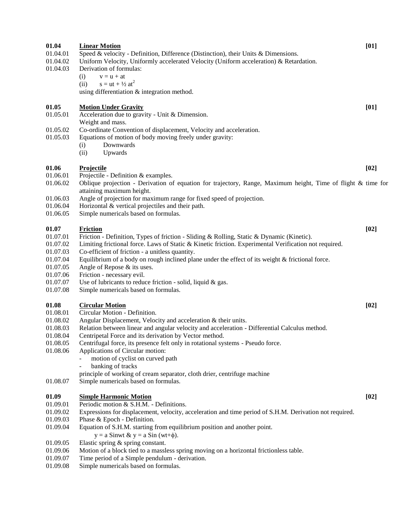| 01.04<br>01.04.01<br>01.04.02<br>01.04.03 | <b>Linear Motion</b><br>Speed & velocity - Definition, Difference (Distinction), their Units & Dimensions.<br>Uniform Velocity, Uniformly accelerated Velocity (Uniform acceleration) & Retardation.<br>Derivation of formulas:<br>$v = u + at$<br>(i)<br>$s = ut + \frac{1}{2} at^2$<br>(ii)<br>using differentiation & integration method. | [01]   |
|-------------------------------------------|----------------------------------------------------------------------------------------------------------------------------------------------------------------------------------------------------------------------------------------------------------------------------------------------------------------------------------------------|--------|
| 01.05<br>01.05.01                         | <b>Motion Under Gravity</b><br>Acceleration due to gravity - Unit & Dimension.<br>Weight and mass.                                                                                                                                                                                                                                           | [01]   |
| 01.05.02<br>01.05.03                      | Co-ordinate Convention of displacement, Velocity and acceleration.<br>Equations of motion of body moving freely under gravity:<br>Downwards<br>(i)<br>(ii)<br>Upwards                                                                                                                                                                        |        |
| 01.06                                     | <b>Projectile</b>                                                                                                                                                                                                                                                                                                                            | [02]   |
| 01.06.01<br>01.06.02                      | Projectile - Definition & examples.<br>Oblique projection - Derivation of equation for trajectory, Range, Maximum height, Time of flight $\&$ time for<br>attaining maximum height.                                                                                                                                                          |        |
| 01.06.03                                  | Angle of projection for maximum range for fixed speed of projection.                                                                                                                                                                                                                                                                         |        |
| 01.06.04<br>01.06.05                      | Horizontal & vertical projectiles and their path.<br>Simple numericals based on formulas.                                                                                                                                                                                                                                                    |        |
|                                           |                                                                                                                                                                                                                                                                                                                                              |        |
| 01.07                                     | <b>Friction</b>                                                                                                                                                                                                                                                                                                                              | $[02]$ |
| 01.07.01<br>01.07.02                      | Friction - Definition, Types of friction - Sliding & Rolling, Static & Dynamic (Kinetic).<br>Limiting frictional force. Laws of Static & Kinetic friction. Experimental Verification not required.                                                                                                                                           |        |
| 01.07.03                                  | Co-efficient of friction - a unitless quantity.                                                                                                                                                                                                                                                                                              |        |
| 01.07.04                                  | Equilibrium of a body on rough inclined plane under the effect of its weight & frictional force.                                                                                                                                                                                                                                             |        |
| 01.07.05                                  | Angle of Repose & its uses.                                                                                                                                                                                                                                                                                                                  |        |
| 01.07.06<br>01.07.07                      | Friction - necessary evil.<br>Use of lubricants to reduce friction - solid, liquid & gas.                                                                                                                                                                                                                                                    |        |
| 01.07.08                                  | Simple numericals based on formulas.                                                                                                                                                                                                                                                                                                         |        |
|                                           |                                                                                                                                                                                                                                                                                                                                              |        |
| 01.08<br>01.08.01                         | <b>Circular Motion</b><br>Circular Motion - Definition.                                                                                                                                                                                                                                                                                      | [02]   |
| 01.08.02                                  | Angular Displacement, Velocity and acceleration & their units.                                                                                                                                                                                                                                                                               |        |
| 01.08.03                                  | Relation between linear and angular velocity and acceleration - Differential Calculus method.                                                                                                                                                                                                                                                |        |
| 01.08.04                                  | Centripetal Force and its derivation by Vector method.                                                                                                                                                                                                                                                                                       |        |
| 01.08.05<br>01.08.06                      | Centrifugal force, its presence felt only in rotational systems - Pseudo force.<br>Applications of Circular motion:                                                                                                                                                                                                                          |        |
|                                           | motion of cyclist on curved path                                                                                                                                                                                                                                                                                                             |        |
|                                           | banking of tracks                                                                                                                                                                                                                                                                                                                            |        |
|                                           | principle of working of cream separator, cloth drier, centrifuge machine                                                                                                                                                                                                                                                                     |        |
| 01.08.07                                  | Simple numericals based on formulas.                                                                                                                                                                                                                                                                                                         |        |
| 01.09                                     | <b>Simple Harmonic Motion</b>                                                                                                                                                                                                                                                                                                                | [02]   |
| 01.09.01                                  | Periodic motion & S.H.M. - Definitions.                                                                                                                                                                                                                                                                                                      |        |
| 01.09.02                                  | Expressions for displacement, velocity, acceleration and time period of S.H.M. Derivation not required.                                                                                                                                                                                                                                      |        |
| 01.09.03<br>01.09.04                      | Phase & Epoch - Definition.<br>Equation of S.H.M. starting from equilibrium position and another point.                                                                                                                                                                                                                                      |        |
|                                           | $y = a$ Sinwt & $y = a$ Sin (wt+ $\phi$ ).                                                                                                                                                                                                                                                                                                   |        |
| 01.09.05                                  | Elastic spring & spring constant.                                                                                                                                                                                                                                                                                                            |        |
| 01.09.06                                  | Motion of a block tied to a massless spring moving on a horizontal frictionless table.                                                                                                                                                                                                                                                       |        |
| 01.09.07                                  | Time period of a Simple pendulum - derivation.                                                                                                                                                                                                                                                                                               |        |
| 01.09.08                                  | Simple numericals based on formulas.                                                                                                                                                                                                                                                                                                         |        |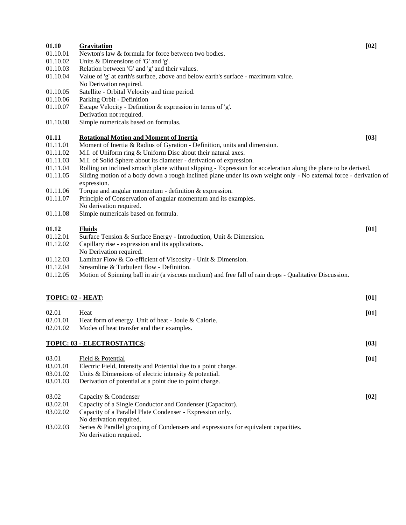| 01.10                | Gravitation                                                                                                        | $[02]$ |
|----------------------|--------------------------------------------------------------------------------------------------------------------|--------|
| 01.10.01<br>01.10.02 | Newton's law & formula for force between two bodies.<br>Units & Dimensions of 'G' and 'g'.                         |        |
| 01.10.03             | Relation between 'G' and 'g' and their values.                                                                     |        |
| 01.10.04             | Value of 'g' at earth's surface, above and below earth's surface - maximum value.                                  |        |
|                      | No Derivation required.                                                                                            |        |
| 01.10.05             | Satellite - Orbital Velocity and time period.                                                                      |        |
| 01.10.06             | Parking Orbit - Definition                                                                                         |        |
| 01.10.07             | Escape Velocity - Definition & expression in terms of 'g'.                                                         |        |
|                      | Derivation not required.                                                                                           |        |
| 01.10.08             | Simple numericals based on formulas.                                                                               |        |
| 01.11                | <b>Rotational Motion and Moment of Inertia</b>                                                                     | [03]   |
| 01.11.01             | Moment of Inertia & Radius of Gyration - Definition, units and dimension.                                          |        |
| 01.11.02             | M.I. of Uniform ring & Uniform Disc about their natural axes.                                                      |        |
| 01.11.03             | M.I. of Solid Sphere about its diameter - derivation of expression.                                                |        |
| 01.11.04             | Rolling on inclined smooth plane without slipping - Expression for acceleration along the plane to be derived.     |        |
| 01.11.05             | Sliding motion of a body down a rough inclined plane under its own weight only - No external force - derivation of |        |
|                      | expression.                                                                                                        |        |
| 01.11.06             | Torque and angular momentum - definition & expression.                                                             |        |
| 01.11.07             | Principle of Conservation of angular momentum and its examples.                                                    |        |
|                      | No derivation required.                                                                                            |        |
| 01.11.08             | Simple numericals based on formula.                                                                                |        |
|                      |                                                                                                                    |        |
| 01.12                | <b>Fluids</b>                                                                                                      | [01]   |
| 01.12.01             | Surface Tension & Surface Energy - Introduction, Unit & Dimension.                                                 |        |
| 01.12.02             | Capillary rise - expression and its applications.                                                                  |        |
| 01.12.03             | No Derivation required.                                                                                            |        |
| 01.12.04             | Laminar Flow & Co-efficient of Viscosity - Unit & Dimension.<br>Streamline & Turbulent flow - Definition.          |        |
|                      |                                                                                                                    |        |
| 01.12.05             | Motion of Spinning ball in air (a viscous medium) and free fall of rain drops - Qualitative Discussion.            |        |
|                      |                                                                                                                    |        |
|                      | TOPIC: 02 - HEAT:                                                                                                  | [01]   |
| 02.01                | Heat                                                                                                               | [01]   |
| 02.01.01             | Heat form of energy. Unit of heat - Joule & Calorie.                                                               |        |
| 02.01.02             | Modes of heat transfer and their examples.                                                                         |        |
|                      |                                                                                                                    |        |
|                      | <b>TOPIC: 03 - ELECTROSTATICS:</b>                                                                                 | $[03]$ |
|                      |                                                                                                                    |        |
| 03.01                | Field & Potential                                                                                                  | [01]   |
| 03.01.01             | Electric Field, Intensity and Potential due to a point charge.                                                     |        |
| 03.01.02             | Units & Dimensions of electric intensity & potential.                                                              |        |
| 03.01.03             | Derivation of potential at a point due to point charge.                                                            |        |
| 03.02                | Capacity & Condenser                                                                                               | [02]   |
| 03.02.01             | Capacity of a Single Conductor and Condenser (Capacitor).                                                          |        |
| 03.02.02             | Capacity of a Parallel Plate Condenser - Expression only.                                                          |        |
|                      | No derivation required.                                                                                            |        |

03.02.03 Series & Parallel grouping of Condensers and expressions for equivalent capacities. No derivation required.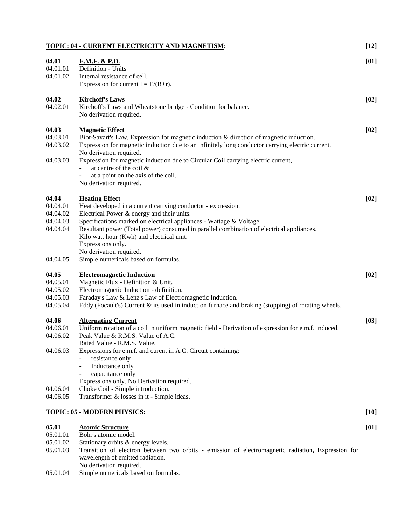|          | TOPIC: 04 - CURRENT ELECTRICITY AND MAGNETISM:                                                                              | $[12]$ |
|----------|-----------------------------------------------------------------------------------------------------------------------------|--------|
| 04.01    | <u>E.M.F. &amp; P.D.</u>                                                                                                    | [01]   |
| 04.01.01 | Definition - Units                                                                                                          |        |
| 04.01.02 | Internal resistance of cell.                                                                                                |        |
|          | Expression for current $I = E/(R+r)$ .                                                                                      |        |
| 04.02    | <b>Kirchoff's Laws</b>                                                                                                      | [02]   |
| 04.02.01 | Kirchoff's Laws and Wheatstone bridge - Condition for balance.                                                              |        |
|          | No derivation required.                                                                                                     |        |
| 04.03    | <b>Magnetic Effect</b>                                                                                                      | [02]   |
| 04.03.01 | Biot-Savart's Law, Expression for magnetic induction & direction of magnetic induction.                                     |        |
| 04.03.02 | Expression for magnetic induction due to an infinitely long conductor carrying electric current.<br>No derivation required. |        |
| 04.03.03 | Expression for magnetic induction due to Circular Coil carrying electric current,                                           |        |
|          | at centre of the coil &                                                                                                     |        |
|          | at a point on the axis of the coil.                                                                                         |        |
|          | No derivation required.                                                                                                     |        |
|          |                                                                                                                             |        |
| 04.04    | <b>Heating Effect</b>                                                                                                       | [02]   |
| 04.04.01 | Heat developed in a current carrying conductor - expression.                                                                |        |
| 04.04.02 | Electrical Power & energy and their units.                                                                                  |        |
| 04.04.03 | Specifications marked on electrical appliances - Wattage & Voltage.                                                         |        |
| 04.04.04 | Resultant power (Total power) consumed in parallel combination of electrical appliances.                                    |        |
|          | Kilo watt hour (Kwh) and electrical unit.                                                                                   |        |
|          | Expressions only.                                                                                                           |        |
|          | No derivation required.                                                                                                     |        |
| 04.04.05 | Simple numericals based on formulas.                                                                                        |        |
| 04.05    | <b>Electromagnetic Induction</b>                                                                                            | [02]   |
| 04.05.01 | Magnetic Flux - Definition & Unit.                                                                                          |        |
| 04.05.02 | Electromagnetic Induction - definition.                                                                                     |        |
| 04.05.03 | Faraday's Law & Lenz's Law of Electromagnetic Induction.                                                                    |        |
| 04.05.04 | Eddy (Focault's) Current & its used in induction furnace and braking (stopping) of rotating wheels.                         |        |
| 04.06    | <b>Alternating Current</b>                                                                                                  | $[03]$ |
| 04.06.01 | Uniform rotation of a coil in uniform magnetic field - Derivation of expression for e.m.f. induced.                         |        |
| 04.06.02 | Peak Value & R.M.S. Value of A.C.                                                                                           |        |
|          | Rated Value - R.M.S. Value.                                                                                                 |        |
| 04.06.03 | Expressions for e.m.f. and curent in A.C. Circuit containing:                                                               |        |
|          | resistance only                                                                                                             |        |
|          | Inductance only<br>$\overline{\phantom{0}}$                                                                                 |        |
|          | capacitance only                                                                                                            |        |
|          | Expressions only. No Derivation required.                                                                                   |        |
| 04.06.04 | Choke Coil - Simple introduction.                                                                                           |        |
| 04.06.05 | Transformer & losses in it - Simple ideas.                                                                                  |        |
|          |                                                                                                                             |        |
|          | <u>TOPIC: 05 - MODERN PHYSICS</u> :                                                                                         | $[10]$ |
| 05.01    | <b>Atomic Structure</b>                                                                                                     | [01]   |
| 05.01.01 | Bohr's atomic model.                                                                                                        |        |
| 05.01.02 | Stationary orbits & energy levels.                                                                                          |        |
| 05.01.03 | Transition of electron between two orbits - emission of electromagnetic radiation, Expression for                           |        |
|          | wavelength of emitted radiation.                                                                                            |        |

- No derivation required.
- 05.01.04 Simple numericals based on formulas.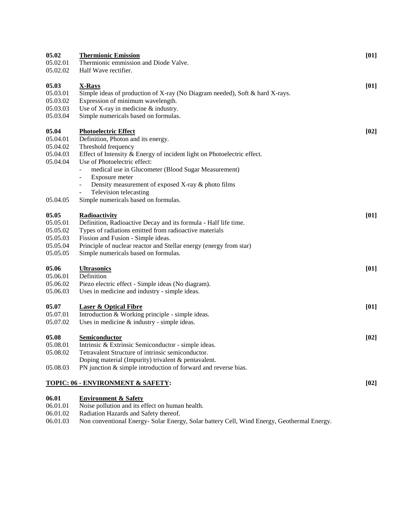| 05.02    | <b>Thermionic Emission</b>                                                         | [01] |
|----------|------------------------------------------------------------------------------------|------|
| 05.02.01 | Thermionic emmission and Diode Valve.                                              |      |
| 05.02.02 | Half Wave rectifier.                                                               |      |
| 05.03    | <b>X-Rays</b>                                                                      | [01] |
| 05.03.01 | Simple ideas of production of X-ray (No Diagram needed), Soft & hard X-rays.       |      |
| 05.03.02 | Expression of minimum wavelength.                                                  |      |
| 05.03.03 | Use of X-ray in medicine & industry.                                               |      |
| 05.03.04 | Simple numericals based on formulas.                                               |      |
| 05.04    | <b>Photoelectric Effect</b>                                                        | [02] |
| 05.04.01 | Definition, Photon and its energy.                                                 |      |
| 05.04.02 | Threshold frequency                                                                |      |
| 05.04.03 | Effect of Intensity & Energy of incident light on Photoelectric effect.            |      |
| 05.04.04 | Use of Photoelectric effect:                                                       |      |
|          | medical use in Glucometer (Blood Sugar Measurement)<br>$\blacksquare$              |      |
|          | Exposure meter<br>$\qquad \qquad \blacksquare$                                     |      |
|          | Density measurement of exposed X-ray & photo films<br>$\qquad \qquad \blacksquare$ |      |
|          | Television telecasting                                                             |      |
| 05.04.05 | Simple numericals based on formulas.                                               |      |
| 05.05    | Radioactivity                                                                      | [01] |
| 05.05.01 | Definition, Radioactive Decay and its formula - Half life time.                    |      |
| 05.05.02 | Types of radiations emitted from radioactive materials                             |      |
| 05.05.03 | Fission and Fusion - Simple ideas.                                                 |      |
| 05.05.04 | Principle of nuclear reactor and Stellar energy (energy from star)                 |      |
| 05.05.05 | Simple numericals based on formulas.                                               |      |
| 05.06    | <b>Ultrasonics</b>                                                                 | [01] |
| 05.06.01 | Definition                                                                         |      |
| 05.06.02 | Piezo electric effect - Simple ideas (No diagram).                                 |      |
| 05.06.03 | Uses in medicine and industry - simple ideas.                                      |      |
| 05.07    | <b>Laser &amp; Optical Fibre</b>                                                   | [01] |
| 05.07.01 | Introduction & Working principle - simple ideas.                                   |      |
| 05.07.02 | Uses in medicine $&$ industry - simple ideas.                                      |      |
| 05.08    | <b>Semiconductor</b>                                                               | [02] |
| 05.08.01 | Intrinsic & Extrinsic Semiconductor - simple ideas.                                |      |
| 05.08.02 | Tetravalent Structure of intrinsic semiconductor.                                  |      |
|          | Doping material (Impurity) trivalent & pentavalent.                                |      |
| 05.08.03 | PN junction & simple introduction of forward and reverse bias.                     |      |
|          | <u>TOPIC: 06 - ENVIRONMENT &amp; SAFETY:</u>                                       | [02] |
| 06.01    | <b>Environment &amp; Safety</b>                                                    |      |
|          |                                                                                    |      |

- 06.01.01 Noise pollution and its effect on human health.
- 06.01.02 Radiation Hazards and Safety thereof.

06.01.03 Non conventional Energy- Solar Energy, Solar battery Cell, Wind Energy, Geothermal Energy.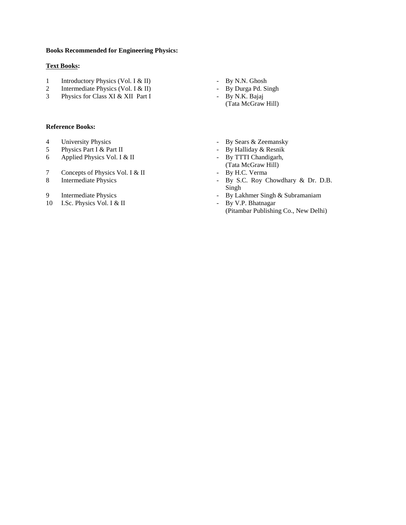#### **Books Recommended for Engineering Physics:**

#### **Text Books:**

- 1 Introductory Physics (Vol. I & II) By N.N. Ghosh
- 2 Intermediate Physics (Vol. I & II) By Durga Pd. Singh
- 3 Physics for Class XI & XII Part I By N.K. Bajaj

#### **Reference Books:**

- 
- 
- 6 Applied Physics Vol. I & II
- 7 Concepts of Physics Vol. I & II
- 
- 
- 10 I.Sc. Physics Vol. I & II By V.P. Bhatnagar
- 
- 
- 
- (Tata McGraw Hill)
- 4 University Physics<br>
5 Physics Part I & Part II By Halliday & Resnik<br>
9 By Halliday & Resnik<br>
9 By Halliday & Resnik
	- Physics Part I & Part II By Halliday & Resnik<br>
	Applied Physics Vol. I & II By TTTI Chandigarh,
		- (Tata McGraw Hill)
		-
- 8 Intermediate Physics By S.C. Roy Chowdhary & Dr. D.B. Singh
- 9 Intermediate Physics By Lakhmer Singh & Subramaniam
	-
	- (Pitambar Publishing Co., New Delhi)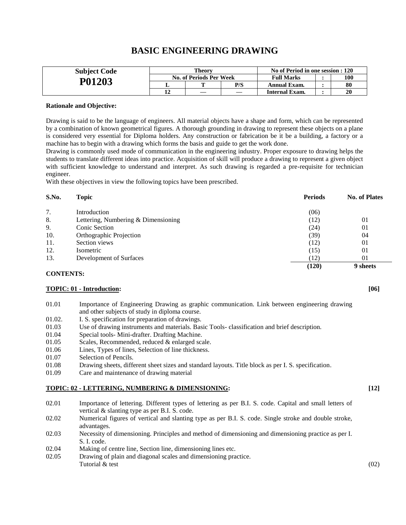| <b>Subject Code</b> |    | Theorv                  |     | No of Period in one session : 120 |  |     |
|---------------------|----|-------------------------|-----|-----------------------------------|--|-----|
|                     |    | No. of Periods Per Week |     | <b>Full Marks</b>                 |  | 100 |
| P01203              |    | m                       | P/S | Annual Exam.                      |  | 80  |
|                     | 12 |                         |     | Internal Exam.                    |  | 20  |

# **BASIC ENGINEERING DRAWING**

#### **Rationale and Objective:**

Drawing is said to be the language of engineers. All material objects have a shape and form, which can be represented by a combination of known geometrical figures. A thorough grounding in drawing to represent these objects on a plane is considered very essential for Diploma holders. Any construction or fabrication be it be a building, a factory or a machine has to begin with a drawing which forms the basis and guide to get the work done.

Drawing is commonly used mode of communication in the engineering industry. Proper exposure to drawing helps the students to translate different ideas into practice. Acquisition of skill will produce a drawing to represent a given object with sufficient knowledge to understand and interpret. As such drawing is regarded a pre-requisite for technician engineer.

With these objectives in view the following topics have been prescribed.

| S.No. | <b>Topic</b>                        | <b>Periods</b> | <b>No. of Plates</b> |
|-------|-------------------------------------|----------------|----------------------|
| 7.    | Introduction                        | (06)           |                      |
| 8.    | Lettering, Numbering & Dimensioning | (12)           | 01                   |
| 9.    | <b>Conic Section</b>                | (24)           | 01                   |
| 10.   | Orthographic Projection             | (39)           | 04                   |
| 11.   | Section views                       | (12)           | 01                   |
| 12.   | Isometric                           | (15)           | 01                   |
| 13.   | Development of Surfaces             | (12)           | 01                   |
|       |                                     | (120)          | 9 sheets             |

#### **CONTENTS:**

#### **TOPIC: 01 - Introduction: [06]**

- 01.01 Importance of Engineering Drawing as graphic communication. Link between engineering drawing and other subjects of study in diploma course.
- 01.02. I. S. specification for preparation of drawings.
- 01.03 Use of drawing instruments and materials. Basic Tools- classification and brief description.
- 01.04 Special tools- Mini-drafter. Drafting Machine.
- 01.05 Scales, Recommended, reduced & enlarged scale.
- 01.06 Lines, Types of lines, Selection of line thickness.
- 01.07 Selection of Pencils.
- 01.08 Drawing sheets, different sheet sizes and standard layouts. Title block as per I. S. specification.
- 01.09 Care and maintenance of drawing material

#### **TOPIC: 02 - LETTERING, NUMBERING & DIMENSIONING: [12]**

- 02.01 Importance of lettering. Different types of lettering as per B.I. S. code. Capital and small letters of vertical & slanting type as per B.I. S. code.
- 02.02 Numerical figures of vertical and slanting type as per B.I. S. code. Single stroke and double stroke, advantages.
- 02.03 Necessity of dimensioning. Principles and method of dimensioning and dimensioning practice as per I. S. I. code.
- 02.04 Making of centre line, Section line, dimensioning lines etc.
- 02.05 Drawing of plain and diagonal scales and dimensioning practice.  $Tutorial \& \text{test}$  (02)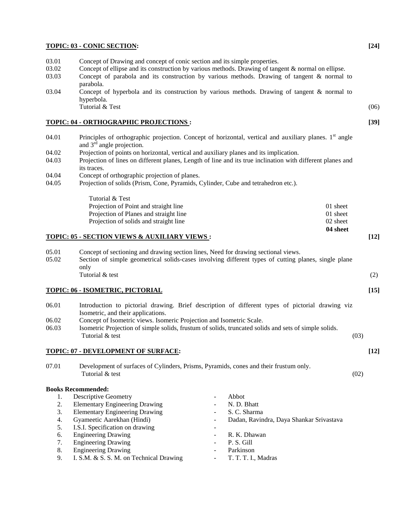#### **TOPIC: 03 - CONIC SECTION: [24]**

- 03.01 Concept of Drawing and concept of conic section and its simple properties.
- 03.02 Concept of ellipse and its construction by various methods. Drawing of tangent & normal on ellipse.
- 03.03 Concept of parabola and its construction by various methods. Drawing of tangent & normal to parabola.
- 03.04 Concept of hyperbola and its construction by various methods. Drawing of tangent & normal to hyperbola. Tutorial & Test (06)

#### **TOPIC: 04 - ORTHOGRAPHIC PROJECTIONS : [39]**

- 04.01 Principles of orthographic projection. Concept of horizontal, vertical and auxiliary planes.  $1<sup>st</sup>$  angle and  $3<sup>rd</sup>$  angle projection.
- 04.02 Projection of points on horizontal, vertical and auxiliary planes and its implication.
- 04.03 Projection of lines on different planes, Length of line and its true inclination with different planes and its traces.
- 04.04 Concept of orthographic projection of planes.
- 04.05 Projection of solids (Prism, Cone, Pyramids, Cylinder, Cube and tetrahedron etc.).

| Tutorial & Test                        |          |
|----------------------------------------|----------|
| Projection of Point and straight line  | 01 sheet |
| Projection of Planes and straight line | 01 sheet |
| Projection of solids and straight line | 02 sheet |
|                                        | 04 sheet |

#### **TOPIC: 05 - SECTION VIEWS & AUXILIARY VIEWS : [12]**

05.01 Concept of sectioning and drawing section lines, Need for drawing sectional views. 05.02 Section of simple geometrical solids-cases involving different types of cutting planes, single plane only  $Tutorial \& test$  (2)

#### **TOPIC: 06 - ISOMETRIC, PICTORIAL [15]**

- 06.01 Introduction to pictorial drawing. Brief description of different types of pictorial drawing viz Isometric, and their applications. 06.02 Concept of Isometric views. Isomeric Projection and Isometric Scale. 06.03 Isometric Projection of simple solids, frustum of solids, truncated solids and sets of simple solids.  $Tutorial \& \text{test}$  (03) **TOPIC: 07 - DEVELOPMENT OF SURFACE: [12]**
- 07.01 Development of surfaces of Cylinders, Prisms, Pyramids, cones and their frustum only. Tutorial & test  $(02)$

#### **Books Recommended:**

|    | <b>Descriptive Geometry</b>             |                          | Abbot                                    |
|----|-----------------------------------------|--------------------------|------------------------------------------|
| 2. | <b>Elementary Engineering Drawing</b>   |                          | N. D. Bhatt                              |
| 3. | <b>Elementary Engineering Drawing</b>   |                          | S. C. Sharma                             |
| 4. | Gyameetic Aarekhan (Hindi)              |                          | Dadan, Ravindra, Daya Shankar Srivastava |
| 5. | I.S.I. Specification on drawing         |                          |                                          |
| 6. | <b>Engineering Drawing</b>              |                          | R. K. Dhawan                             |
| 7. | <b>Engineering Drawing</b>              |                          | P. S. Gill                               |
| 8. | <b>Engineering Drawing</b>              | $\overline{\phantom{a}}$ | Parkinson                                |
| 9. | I. S.M. & S. S. M. on Technical Drawing |                          | T. T. T. I., Madras                      |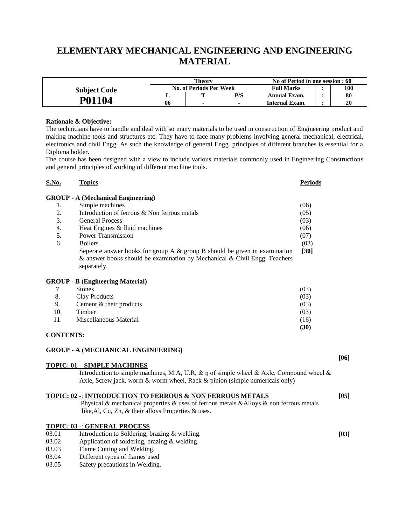# **ELEMENTARY MECHANICAL ENGINEERING AND ENGINEERING MATERIAL**

|                     | Theorv                         |  |     | No of Period in one session : 60 |  |     |
|---------------------|--------------------------------|--|-----|----------------------------------|--|-----|
| <b>Subject Code</b> | <b>No. of Periods Per Week</b> |  |     | <b>Full Marks</b>                |  | 100 |
|                     |                                |  | P/S | Annual Exam.                     |  | 80  |
| P01104              | 06                             |  |     | Internal Exam.                   |  | 20  |

#### **Rationale & Objective:**

The technicians have to handle and deal with so many materials to be used in construction of Engineering product and making machine tools and structures etc. They have to face many problems involving general mechanical, electrical, electronics and civil Engg. As such the knowledge of general Engg. principles of different branches is essential for a Diploma holder.

The course has been designed with a view to include various materials commonly used in Engineering Constructions and general principles of working of different machine tools.

| S.No.     | <b>Topics</b>                                                                   | Periods |
|-----------|---------------------------------------------------------------------------------|---------|
|           | <b>GROUP</b> - A (Mechanical Engineering)                                       |         |
| 1.        | Simple machines                                                                 | (06)    |
| 2.        | Introduction of ferrous & Non ferrous metals                                    | (05)    |
| 3.        | <b>General Process</b>                                                          | (03)    |
| 4.        | Heat Engines & fluid machines                                                   | (06)    |
| 5.        | Power Transmission                                                              | (07)    |
| 6.        | <b>Boilers</b>                                                                  | (03)    |
|           | Seperate answer books for group A $\&$ group B should be given in examination   | $[30]$  |
|           | $\&$ answer books should be examination by Mechanical $\&$ Civil Engg. Teachers |         |
|           | separately.                                                                     |         |
|           | <b>GROUP - B (Engineering Material)</b>                                         |         |
|           | <b>Stones</b>                                                                   | (03)    |
| 8.        | Clay Products                                                                   | (03)    |
| 9.        | Cement $&$ their products                                                       | (05)    |
| 10.       | Timber                                                                          | (03)    |
| 11.       | Miscellaneous Material                                                          | (16)    |
|           |                                                                                 | (30)    |
| CONTENTS· |                                                                                 |         |

### **GROUP - A (MECHANICAL ENGINEERING)**

#### **TOPIC: 01 – SIMPLE MACHINES**

Introduction to simple machines, M.A, U.R,  $\&$  ŋ of simple wheel  $\&$  Axle, Compound wheel  $\&$ Axle, Screw jack, worm & worm wheel, Rack & pinion (simple numericals only)

**[06]**

| TOPIC: 02 -: INTRODUCTION TO FERROUS & NON FERROUS METALS                               | [05] |
|-----------------------------------------------------------------------------------------|------|
| Physical & mechanical properties & uses of ferrous metals & Alloys & non ferrous metals |      |
| like, Al, Cu, Zn, $\&$ their alloys Properties $\&$ uses.                               |      |
| <b>TOPIC: 03 -: GENERAL PROCESS</b>                                                     |      |
| Introduction to Soldering, brazing & welding.<br>03.01                                  | [03] |

- 03.02 Application of soldering, brazing & welding.<br>03.03 Flame Cutting and Welding.
- Flame Cutting and Welding.
- 03.04 Different types of flames used
- 03.05 Safety precautions in Welding.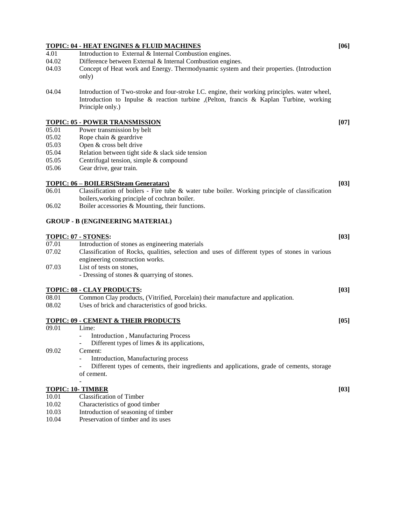# **TOPIC: 04 - HEAT ENGINES & FLUID MACHINES [06]** 4.01 Introduction to External & Internal Combustion engines. 04.02 Difference between External & Internal Combustion engines. 04.03 Concept of Heat work and Energy. Thermodynamic system and their properties. (Introduction only) 04.04 Introduction of Two-stroke and four-stroke I.C. engine, their working principles. water wheel, Introduction to Inpulse & reaction turbine ,(Pelton, francis & Kaplan Turbine, working Principle only.) **TOPIC: 05 - POWER TRANSMISSION [07]** 05.01 Power transmission by belt 05.02 Rope chain & geardrive 05.03 Open & cross belt drive 05.04 Relation between tight side & slack side tension 05.05 Centrifugal tension, simple & compound 05.06 Gear drive, gear train. **TOPIC: 06 – BOILERS(Steam Generatars) [03]** 06.01 Classification of boilers - Fire tube & water tube boiler. Working principle of classification boilers,working principle of cochran boiler. 06.02 Boiler accessories & Mounting, their functions. **GROUP - B (ENGINEERING MATERIAL) TOPIC: 07 - STONES:** [03]<br>07.01 Introduction of stones as engineering materials Introduction of stones as engineering materials 07.02 Classification of Rocks, qualities, selection and uses of different types of stones in various engineering construction works. 07.03 List of tests on stones, - Dressing of stones & quarrying of stones. **TOPIC: 08 - CLAY PRODUCTS: [03]** 08.01 Common Clay products, (Vitrified, Porcelain) their manufacture and application. 08.02 Uses of brick and characteristics of good bricks. **TOPIC: 09 - CEMENT & THEIR PRODUCTS [05]** 09.01 Lime: Introduction, Manufacturing Process Different types of limes  $\&$  its applications, 09.02 Cement: Introduction, Manufacturing process Different types of cements, their ingredients and applications, grade of cements, storage

of cement.

#### - **TOPIC: 10- TIMBER [03]**

- 10.01 Classification of Timber
- 10.02 Characteristics of good timber
- 10.03 Introduction of seasoning of timber
- 10.04 Preservation of timber and its uses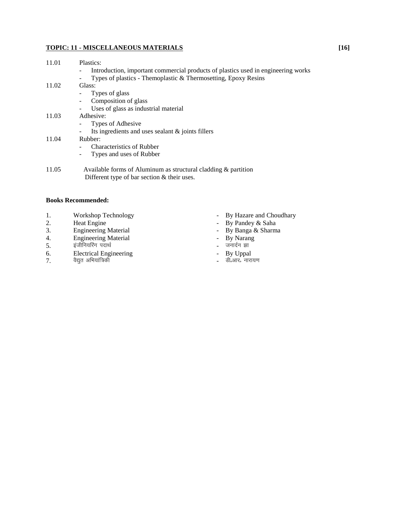### **TOPIC: 11 - MISCELLANEOUS MATERIALS [16]**

| 11.01 | Plastics:                                                                         |
|-------|-----------------------------------------------------------------------------------|
|       | Introduction, important commercial products of plastics used in engineering works |
|       | Types of plastics - Themoplastic & Thermosetting, Epoxy Resins<br>-               |
| 11.02 | Glass:                                                                            |
|       | Types of glass                                                                    |
|       | Composition of glass<br>$\blacksquare$                                            |
|       | Uses of glass as industrial material<br>$\overline{\phantom{a}}$                  |
| 11.03 | Adhesive:                                                                         |
|       | Types of Adhesive<br>-                                                            |
|       | Its ingredients and uses sealant $\&$ joints fillers<br>$\overline{\phantom{a}}$  |
| 11.04 | Rubber:                                                                           |
|       | <b>Characteristics of Rubber</b>                                                  |
|       | Types and uses of Rubber<br>۰.                                                    |
| 11.05 | Available forms of Aluminum as structural cladding & partition                    |
|       | Different type of bar section $&$ their uses.                                     |

#### **Books Recommended:**

- 1. Workshop Technology  **By Hazare and Choudhary**
- 
- 2. Heat Engine By Pandey & Saha<br>
3. Engineering Material By Banga & Sharm
- 4. Engineering Material and Table 1 and Separate By Narang
- 5. bathfu;fjax inkFkZ tukn Zu >k
- 6. Electrical Engineering The Contract Engineering Fig. 2. By Uppal
- 7. oS|qr vfHk;k af=dh Mhñvkjñ ukjk;.k
- 
- 
- By Banga & Sharma<br>- By Banga & Sharma<br>- जनार्दन झा
- 
- 
- 
-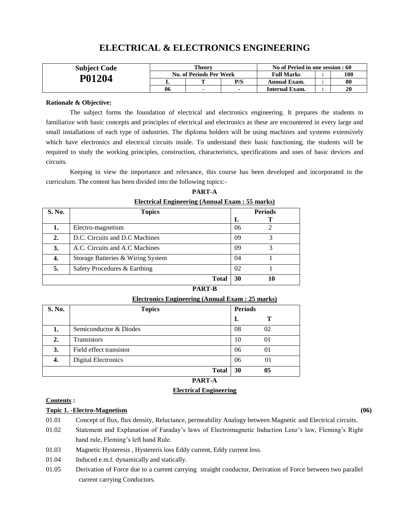| <b>Subject Code</b> | <b>Theory</b>           |   |     | No of Period in one session : 60 |  |     |
|---------------------|-------------------------|---|-----|----------------------------------|--|-----|
| P01204              | No. of Periods Per Week |   |     | <b>Full Marks</b>                |  | 100 |
|                     |                         | m | P/S | Annual Exam.                     |  | 80  |
|                     | 06                      |   |     | Internal Exam.                   |  | 20  |

# **ELECTRICAL & ELECTRONICS ENGINEERING**

#### **Rationale & Objective:**

The subject forms the foundation of electrical and electronics engineering. It prepares the students to familiarize with basic concepts and principles of electrical and electronics as these are encountered in every large and small installations of each type of industries. The diploma holders will be using machines and systems extensively which have electronics and electrical circuits inside. To understand their basic functioning, the students will be required to study the working principles, construction, characteristics, specifications and uses of basic devices and circuits.

Keeping in view the importance and relevance, this course has been developed and incorporated in the curriculum. The content has been divided into the following topics:-

|        | Electrical Engineering (Annual Exam : 55 marks) |    |                |  |  |  |  |
|--------|-------------------------------------------------|----|----------------|--|--|--|--|
| S. No. | <b>Topics</b>                                   |    | <b>Periods</b> |  |  |  |  |
|        |                                                 | L  |                |  |  |  |  |
|        | Electro-magnetism                               | 06 | 2              |  |  |  |  |
| 2.     | D.C. Circuits and D.C Machines                  | 09 | 3              |  |  |  |  |
| 3.     | A.C. Circuits and A.C Machines                  | 09 | 3              |  |  |  |  |
| 4.     | Storage Batteries & Wiring System               | 04 |                |  |  |  |  |
| 5.     | Safety Procedures & Earthing                    | 02 |                |  |  |  |  |
|        | <b>Total</b>                                    | 30 | 10             |  |  |  |  |

# **PART-A**

**PART-B**

### **Electronics Engineering (Annual Exam : 25 marks)**

| S. No. | <b>Topics</b>              |    | <b>Periods</b> |
|--------|----------------------------|----|----------------|
|        |                            | L  | т              |
|        | Semiconductor & Diodes     | 08 | 02             |
| 2.     | <b>Transistors</b>         | 10 | 01             |
| 3.     | Field effect transistor    | 06 | 01             |
| 4.     | <b>Digital Electronics</b> | 06 | 01             |
|        | <b>Total</b>               | 30 | 05             |

# **PART-A**

## **Electrical Engineering**

#### **Contents :**

#### **Topic 1. -Electro-Magnetism (06)**

- 01.01 Concept of flux, flux density, Reluctance, permeability Analogy between Magnetic and Electrical circuits.
- 01.02 Statement and Explanation of Faraday's laws of Electromagnetic Induction Lenz's law, Fleming's Right hand rule, Fleming's left hand Rule.
- 01.03 Magnetic Hysteresis , Hystereris loss Eddy current, Eddy current loss.
- 01.04 Induced e.m.f. dynamically and statically.
- 01.05 Derivation of Force due to a current carrying straight conductor, Derivation of Force between two parallel current carrying Conductors.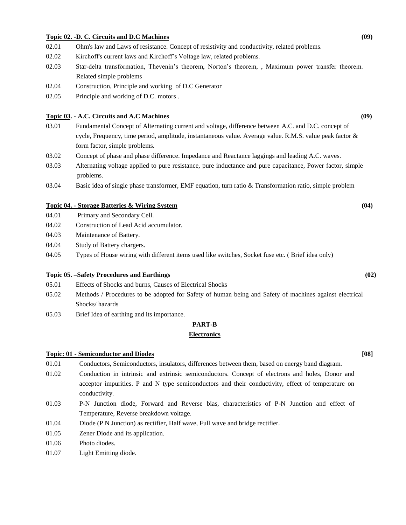#### **Topic 02. -D. C. Circuits and D.C Machines (09)**

- 02.01 Ohm's law and Laws of resistance. Concept of resistivity and conductivity, related problems.
- 02.02 Kirchoff's current laws and Kirchoff's Voltage law, related problems.
- 02.03 Star-delta transformation, Thevenin's theorem, Norton's theorem, , Maximum power transfer theorem. Related simple problems
- 02.04 Construction, Principle and working of D.C Generator
- 02.05 Principle and working of D.C. motors .

### **Topic 03. - A.C. Circuits and A.C Machines (09)**

- 03.01 Fundamental Concept of Alternating current and voltage, difference between A.C. and D.C. concept of cycle, Frequency, time period, amplitude, instantaneous value. Average value. R.M.S. value peak factor & form factor, simple problems.
- 03.02 Concept of phase and phase difference. Impedance and Reactance laggings and leading A.C. waves.
- 03.03 Alternating voltage applied to pure resistance, pure inductance and pure capacitance, Power factor, simple problems.
- 03.04 Basic idea of single phase transformer, EMF equation, turn ratio & Transformation ratio, simple problem

#### **Topic 04. - Storage Batteries & Wiring System (04)**

- 04.01 Primary and Secondary Cell.
- 04.02 Construction of Lead Acid accumulator.
- 04.03 Maintenance of Battery.
- 04.04 Study of Battery chargers.
- 04.05 Types of House wiring with different items used like switches, Socket fuse etc. ( Brief idea only)

#### **Topic 05. –Safety Procedures and Earthings (02)**

- 05.01 Effects of Shocks and burns, Causes of Electrical Shocks
- 05.02 Methods / Procedures to be adopted for Safety of human being and Safety of machines against electrical Shocks/ hazards
- 05.03 Brief Idea of earthing and its importance.

#### **PART-B**

#### **Electronics**

#### **Topic: 01 - Semiconductor and Diodes [08]**

- 01.01 Conductors, Semiconductors, insulators, differences between them, based on energy band diagram.
- 01.02 Conduction in intrinsic and extrinsic semiconductors. Concept of electrons and holes, Donor and acceptor impurities. P and N type semiconductors and their conductivity, effect of temperature on conductivity.
- 01.03 P-N Junction diode, Forward and Reverse bias, characteristics of P-N Junction and effect of Temperature, Reverse breakdown voltage.
- 01.04 Diode (P N Junction) as rectifier, Half wave, Full wave and bridge rectifier.
- 01.05 Zener Diode and its application.
- 01.06 Photo diodes.
- 01.07 Light Emitting diode.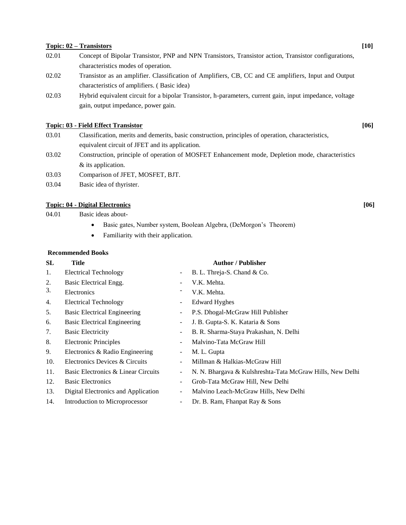#### **Topic: 02 – Transistors [10]**

- 02.01 Concept of Bipolar Transistor, PNP and NPN Transistors, Transistor action, Transistor configurations, characteristics modes of operation.
- 02.02 Transistor as an amplifier. Classification of Amplifiers, CB, CC and CE amplifiers, Input and Output characteristics of amplifiers. ( Basic idea)
- 02.03 Hybrid equivalent circuit for a bipolar Transistor, h-parameters, current gain, input impedance, voltage gain, output impedance, power gain.

#### **Topic: 03 - Field Effect Transistor [06]**

- 03.01 Classification, merits and demerits, basic construction, principles of operation, characteristics, equivalent circuit of JFET and its application.
- 03.02 Construction, principle of operation of MOSFET Enhancement mode, Depletion mode, characteristics & its application.
- 03.03 Comparison of JFET, MOSFET, BJT.
- 03.04 Basic idea of thyrister.

#### **Topic: 04 - Digital Electronics [06]**

04.01 Basic ideas about-

- Basic gates, Number system, Boolean Algebra, (DeMorgon's Theorem)
- Familiarity with their application.

#### **Recommended Books**

| SL  | Title                               |                          | <b>Author</b> / Publisher                                 |  |  |  |
|-----|-------------------------------------|--------------------------|-----------------------------------------------------------|--|--|--|
| 1.  | <b>Electrical Technology</b>        |                          | B. L. Threja-S. Chand & Co.                               |  |  |  |
| 2.  | Basic Electrical Engg.              |                          | V.K. Mehta.                                               |  |  |  |
| 3.  | Electronics                         |                          | V.K. Mehta.                                               |  |  |  |
| 4.  | <b>Electrical Technology</b>        | ۰.                       | <b>Edward Hyghes</b>                                      |  |  |  |
| 5.  | <b>Basic Electrical Engineering</b> | $\sim$                   | P.S. Dhogal-McGraw Hill Publisher                         |  |  |  |
| 6.  | <b>Basic Electrical Engineering</b> | ۰.                       | J. B. Gupta-S. K. Kataria & Sons                          |  |  |  |
| 7.  | <b>Basic Electricity</b>            |                          | B. R. Sharma-Staya Prakashan, N. Delhi                    |  |  |  |
| 8.  | <b>Electronic Principles</b>        |                          | Malvino-Tata McGraw Hill                                  |  |  |  |
| 9.  | Electronics & Radio Engineering     | $\overline{\phantom{a}}$ | M. L. Gupta                                               |  |  |  |
| 10. | Electronics Devices & Circuits      |                          | Millman & Halkias-McGraw Hill                             |  |  |  |
| 11. | Basic Electronics & Linear Circuits | $\overline{\phantom{a}}$ | N. N. Bhargava & Kulshreshta-Tata McGraw Hills, New Delhi |  |  |  |
| 12. | <b>Basic Electronics</b>            | ۰.                       | Grob-Tata McGraw Hill, New Delhi                          |  |  |  |
| 13. | Digital Electronics and Application | $\overline{\phantom{a}}$ | Malvino Leach-McGraw Hills, New Delhi                     |  |  |  |
| 14. | Introduction to Microprocessor      |                          | Dr. B. Ram, Fhanpat Ray & Sons                            |  |  |  |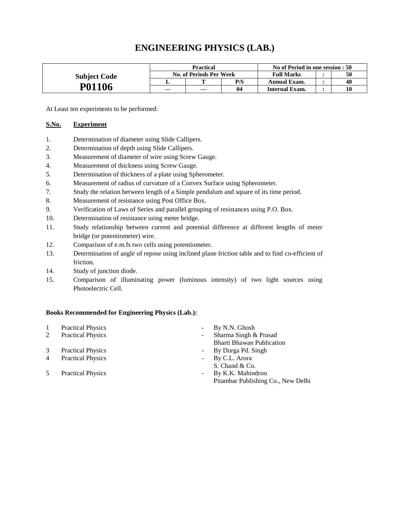# **ENGINEERING PHYSICS (LAB.)**

|                     | <b>Practical</b>                             |  |     | No of Period in one session : 50 |  |    |
|---------------------|----------------------------------------------|--|-----|----------------------------------|--|----|
| <b>Subject Code</b> | <b>Full Marks</b><br>No. of Periods Per Week |  |     | 50                               |  |    |
|                     |                                              |  | P/S | Annual Exam.                     |  | 40 |
| P01106              |                                              |  | 04  | Internal Exam.                   |  | 10 |

At Least ten experiments to be performed:

#### **S.No. Experiment**

- 1. Determination of diameter using Slide Callipers.
- 2. Determination of depth using Slide Callipers.
- 3. Measurement of diameter of wire using Screw Gauge.
- 4. Measurement of thickness using Screw Gauge.
- 5. Determination of thickness of a plate using Spherometer.
- 6. Measurement of radius of curvature of a Convex Surface using Spherometer.
- 7. Study the relation between length of a Simple pendulum and square of its time period.
- 8. Measurement of resistance using Post Office Box.
- 9. Verification of Laws of Series and parallel grouping of resistances using P.O. Box.
- 10. Determination of resistance using meter bridge.
- 11. Study relationship between current and potential difference at different lengths of meter bridge (or potentiometer) wire.
- 12. Comparison of e.m.fs two cells using potentiometer.
- 13. Determination of angle of repose using inclined plane friction table and to find co-efficient of friction.
- 14. Study of junction diode.
- 15. Comparison of illuminating power (luminous intensity) of two light sources using Photoelectric Cell.

#### **Books Recommended for Engineering Physics (Lab.):**

|                | <b>Practical Physics</b> | $\overline{\phantom{a}}$ | By N.N. Ghosh                      |
|----------------|--------------------------|--------------------------|------------------------------------|
| 2              | <b>Practical Physics</b> | ۰                        | Sharma Singh & Prasad              |
|                |                          |                          | <b>Bharti Bhawan Publication</b>   |
| 3              | <b>Practical Physics</b> | ۰                        | By Durga Pd. Singh                 |
| $\overline{4}$ | <b>Practical Physics</b> | $\overline{\phantom{a}}$ | By C.L. Arora                      |
|                |                          |                          | S. Chand & Co.                     |
| 5              | <b>Practical Physics</b> | $\overline{\phantom{a}}$ | By K.K. Mahindroo                  |
|                |                          |                          | Pitambar Publishing Co., New Delhi |
|                |                          |                          |                                    |
|                |                          |                          |                                    |